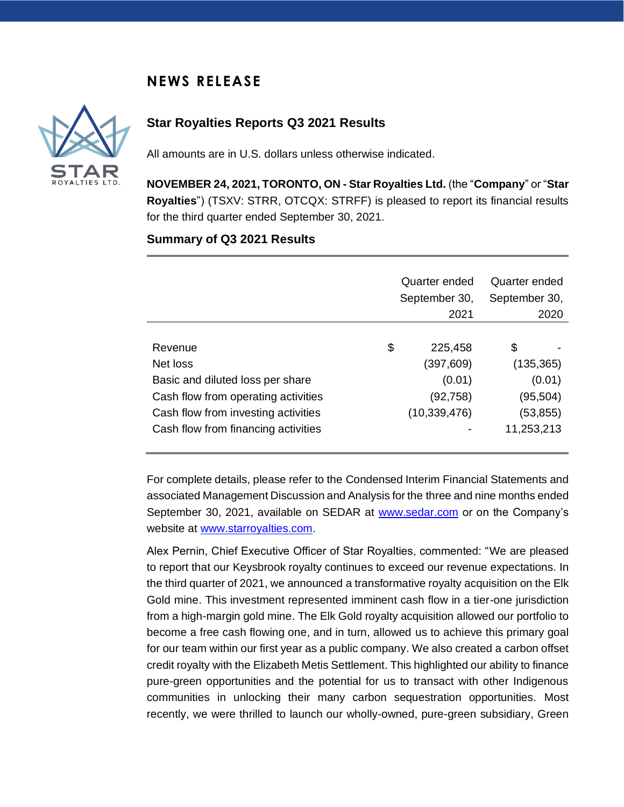# **NEWS RELEASE**



## **Star Royalties Reports Q3 2021 Results**

All amounts are in U.S. dollars unless otherwise indicated.

**NOVEMBER 24, 2021, TORONTO, ON - Star Royalties Ltd.** (the "**Company**" or "**Star Royalties**") (TSXV: STRR, OTCQX: STRFF) is pleased to report its financial results for the third quarter ended September 30, 2021.

### **Summary of Q3 2021 Results**

|                                     | Quarter ended<br>September 30,<br>2021 | Quarter ended<br>September 30,<br>2020 |
|-------------------------------------|----------------------------------------|----------------------------------------|
| Revenue                             | \$<br>225,458                          | \$                                     |
| Net loss                            | (397,609)                              | (135, 365)                             |
| Basic and diluted loss per share    | (0.01)                                 | (0.01)                                 |
| Cash flow from operating activities | (92, 758)                              | (95,504)                               |
| Cash flow from investing activities | (10, 339, 476)                         | (53,855)                               |
| Cash flow from financing activities |                                        | 11,253,213                             |

For complete details, please refer to the Condensed Interim Financial Statements and associated Management Discussion and Analysis for the three and nine months ended September 30, 2021, available on SEDAR at [www.sedar.com](http://www.sedar.com/) or on the Company's website at [www.starroyalties.com.](http://www.starroyalties.com/)

Alex Pernin, Chief Executive Officer of Star Royalties, commented: "We are pleased to report that our Keysbrook royalty continues to exceed our revenue expectations. In the third quarter of 2021, we announced a transformative royalty acquisition on the Elk Gold mine. This investment represented imminent cash flow in a tier-one jurisdiction from a high-margin gold mine. The Elk Gold royalty acquisition allowed our portfolio to become a free cash flowing one, and in turn, allowed us to achieve this primary goal for our team within our first year as a public company. We also created a carbon offset credit royalty with the Elizabeth Metis Settlement. This highlighted our ability to finance pure-green opportunities and the potential for us to transact with other Indigenous communities in unlocking their many carbon sequestration opportunities. Most recently, we were thrilled to launch our wholly-owned, pure-green subsidiary, Green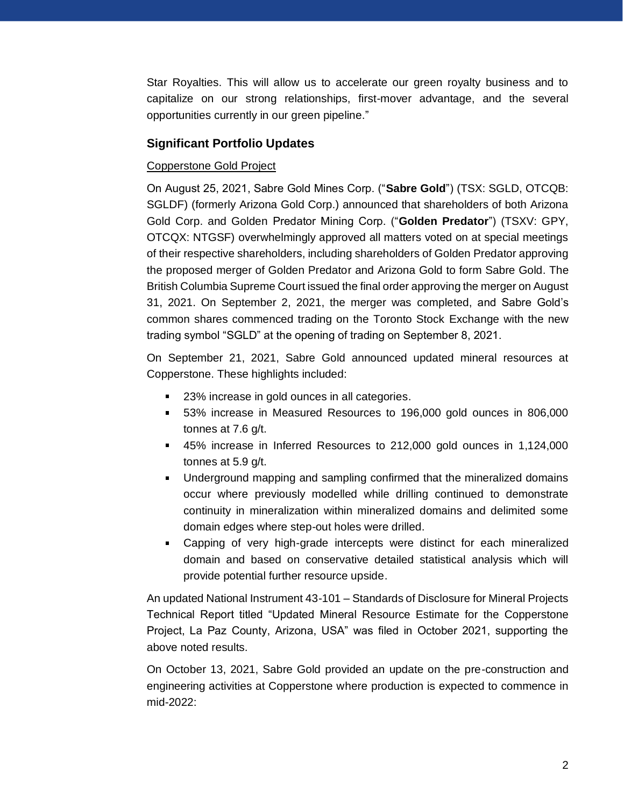Star Royalties. This will allow us to accelerate our green royalty business and to capitalize on our strong relationships, first-mover advantage, and the several opportunities currently in our green pipeline."

## **Significant Portfolio Updates**

### Copperstone Gold Project

On August 25, 2021, Sabre Gold Mines Corp. ("**Sabre Gold**") (TSX: SGLD, OTCQB: SGLDF) (formerly Arizona Gold Corp.) announced that shareholders of both Arizona Gold Corp. and Golden Predator Mining Corp. ("**Golden Predator**") (TSXV: GPY, OTCQX: NTGSF) overwhelmingly approved all matters voted on at special meetings of their respective shareholders, including shareholders of Golden Predator approving the proposed merger of Golden Predator and Arizona Gold to form Sabre Gold. The British Columbia Supreme Court issued the final order approving the merger on August 31, 2021. On September 2, 2021, the merger was completed, and Sabre Gold's common shares commenced trading on the Toronto Stock Exchange with the new trading symbol "SGLD" at the opening of trading on September 8, 2021.

On September 21, 2021, Sabre Gold announced updated mineral resources at Copperstone. These highlights included:

- 23% increase in gold ounces in all categories.
- 53% increase in Measured Resources to 196,000 gold ounces in 806,000 tonnes at 7.6 g/t.
- 45% increase in Inferred Resources to 212,000 gold ounces in 1,124,000 tonnes at 5.9 g/t.
- Underground mapping and sampling confirmed that the mineralized domains occur where previously modelled while drilling continued to demonstrate continuity in mineralization within mineralized domains and delimited some domain edges where step-out holes were drilled.
- Capping of very high-grade intercepts were distinct for each mineralized domain and based on conservative detailed statistical analysis which will provide potential further resource upside.

An updated National Instrument 43-101 – Standards of Disclosure for Mineral Projects Technical Report titled "Updated Mineral Resource Estimate for the Copperstone Project, La Paz County, Arizona, USA" was filed in October 2021, supporting the above noted results.

On October 13, 2021, Sabre Gold provided an update on the pre-construction and engineering activities at Copperstone where production is expected to commence in mid-2022: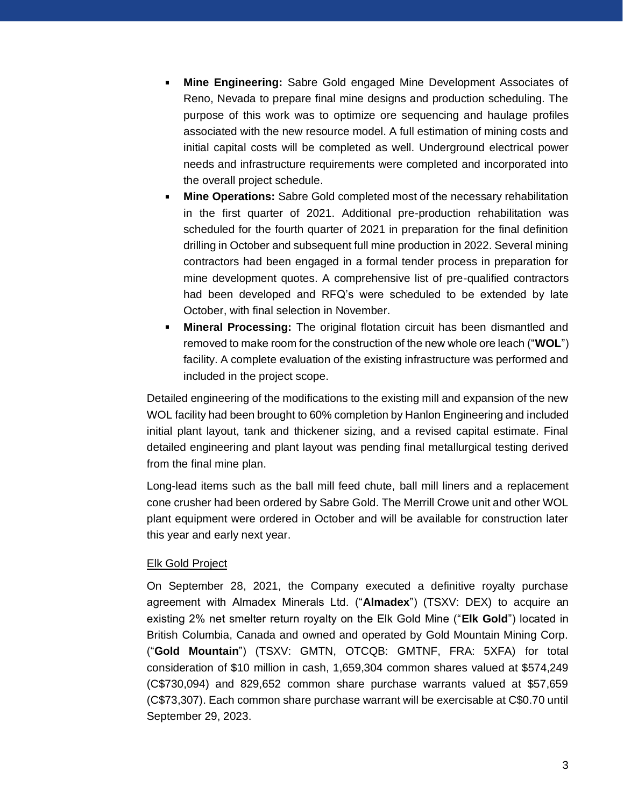- **Mine Engineering:** Sabre Gold engaged Mine Development Associates of Reno, Nevada to prepare final mine designs and production scheduling. The purpose of this work was to optimize ore sequencing and haulage profiles associated with the new resource model. A full estimation of mining costs and initial capital costs will be completed as well. Underground electrical power needs and infrastructure requirements were completed and incorporated into the overall project schedule.
- **Mine Operations:** Sabre Gold completed most of the necessary rehabilitation in the first quarter of 2021. Additional pre-production rehabilitation was scheduled for the fourth quarter of 2021 in preparation for the final definition drilling in October and subsequent full mine production in 2022. Several mining contractors had been engaged in a formal tender process in preparation for mine development quotes. A comprehensive list of pre-qualified contractors had been developed and RFQ's were scheduled to be extended by late October, with final selection in November.
- **Mineral Processing:** The original flotation circuit has been dismantled and removed to make room for the construction of the new whole ore leach ("**WOL**") facility. A complete evaluation of the existing infrastructure was performed and included in the project scope.

Detailed engineering of the modifications to the existing mill and expansion of the new WOL facility had been brought to 60% completion by Hanlon Engineering and included initial plant layout, tank and thickener sizing, and a revised capital estimate. Final detailed engineering and plant layout was pending final metallurgical testing derived from the final mine plan.

Long-lead items such as the ball mill feed chute, ball mill liners and a replacement cone crusher had been ordered by Sabre Gold. The Merrill Crowe unit and other WOL plant equipment were ordered in October and will be available for construction later this year and early next year.

### **Elk Gold Project**

On September 28, 2021, the Company executed a definitive royalty purchase agreement with Almadex Minerals Ltd. ("**Almadex**") (TSXV: DEX) to acquire an existing 2% net smelter return royalty on the Elk Gold Mine ("**Elk Gold**") located in British Columbia, Canada and owned and operated by Gold Mountain Mining Corp. ("**Gold Mountain**") (TSXV: GMTN, OTCQB: GMTNF, FRA: 5XFA) for total consideration of \$10 million in cash, 1,659,304 common shares valued at \$574,249 (C\$730,094) and 829,652 common share purchase warrants valued at \$57,659 (C\$73,307). Each common share purchase warrant will be exercisable at C\$0.70 until September 29, 2023.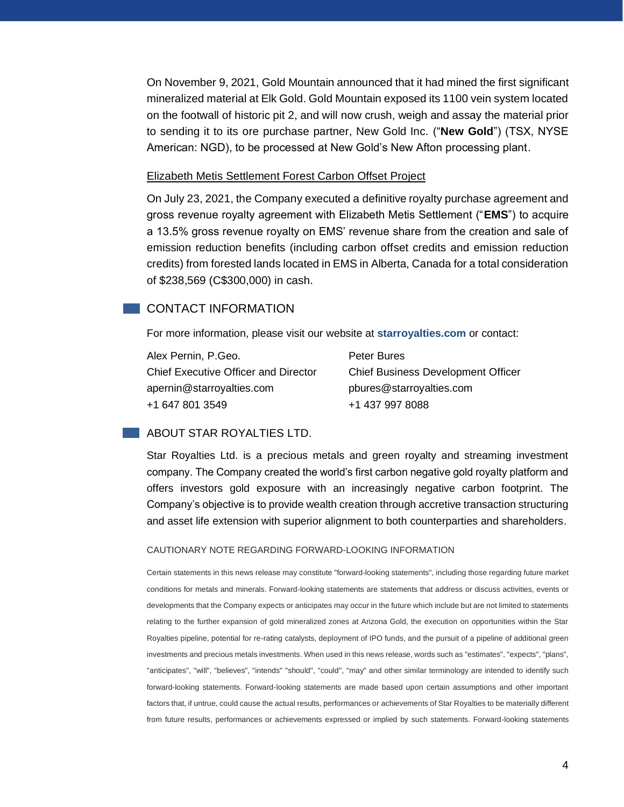On November 9, 2021, Gold Mountain announced that it had mined the first significant mineralized material at Elk Gold. Gold Mountain exposed its 1100 vein system located on the footwall of historic pit 2, and will now crush, weigh and assay the material prior to sending it to its ore purchase partner, New Gold Inc. ("**New Gold**") (TSX, NYSE American: NGD), to be processed at New Gold's New Afton processing plant.

#### Elizabeth Metis Settlement Forest Carbon Offset Project

On July 23, 2021, the Company executed a definitive royalty purchase agreement and gross revenue royalty agreement with Elizabeth Metis Settlement ("**EMS**") to acquire a 13.5% gross revenue royalty on EMS' revenue share from the creation and sale of emission reduction benefits (including carbon offset credits and emission reduction credits) from forested lands located in EMS in Alberta, Canada for a total consideration of \$238,569 (C\$300,000) in cash.

## **CONTACT INFORMATION**

For more information, please visit our website at **starroyalties.com** or contact:

| Alex Pernin, P.Geo.                         |  |
|---------------------------------------------|--|
| <b>Chief Executive Officer and Director</b> |  |
| apernin@starroyalties.com                   |  |
| +1 647 801 3549                             |  |

Peter Bures Chief Business Development Officer pbures@starroyalties.com +1 437 997 8088

#### **ABOUT STAR ROYALTIES LTD.**

Star Royalties Ltd. is a precious metals and green royalty and streaming investment company. The Company created the world's first carbon negative gold royalty platform and offers investors gold exposure with an increasingly negative carbon footprint. The Company's objective is to provide wealth creation through accretive transaction structuring and asset life extension with superior alignment to both counterparties and shareholders.

#### CAUTIONARY NOTE REGARDING FORWARD-LOOKING INFORMATION

Certain statements in this news release may constitute "forward-looking statements", including those regarding future market conditions for metals and minerals. Forward-looking statements are statements that address or discuss activities, events or developments that the Company expects or anticipates may occur in the future which include but are not limited to statements relating to the further expansion of gold mineralized zones at Arizona Gold, the execution on opportunities within the Star Royalties pipeline, potential for re-rating catalysts, deployment of IPO funds, and the pursuit of a pipeline of additional green investments and precious metals investments. When used in this news release, words such as "estimates", "expects", "plans", "anticipates", "will", "believes", "intends" "should", "could", "may" and other similar terminology are intended to identify such forward-looking statements. Forward-looking statements are made based upon certain assumptions and other important factors that, if untrue, could cause the actual results, performances or achievements of Star Royalties to be materially different from future results, performances or achievements expressed or implied by such statements. Forward-looking statements